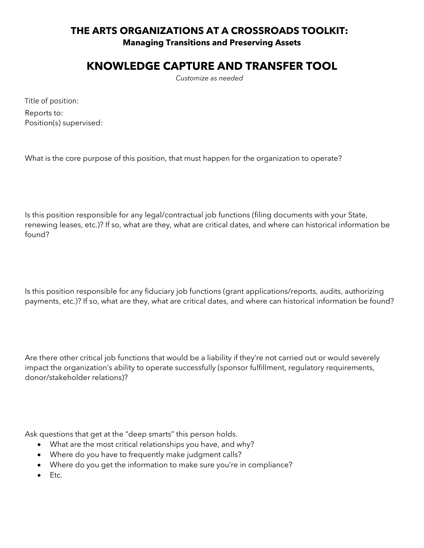## **THE ARTS ORGANIZATIONS AT A CROSSROADS TOOLKIT: Managing Transitions and Preserving Assets**

## **KNOWLEDGE CAPTURE AND TRANSFER TOOL**

*Customize as needed* 

Title of position:

Reports to: Position(s) supervised:

What is the core purpose of this position, that must happen for the organization to operate?

Is this position responsible for any legal/contractual job functions (filing documents with your State, renewing leases, etc.)? If so, what are they, what are critical dates, and where can historical information be found?

Is this position responsible for any fiduciary job functions (grant applications/reports, audits, authorizing payments, etc.)? If so, what are they, what are critical dates, and where can historical information be found?

Are there other critical job functions that would be a liability if they're not carried out or would severely impact the organization's ability to operate successfully (sponsor fulfillment, regulatory requirements, donor/stakeholder relations)?

Ask questions that get at the "deep smarts" this person holds.

- What are the most critical relationships you have, and why?
- Where do you have to frequently make judgment calls?
- Where do you get the information to make sure you're in compliance?
- Etc.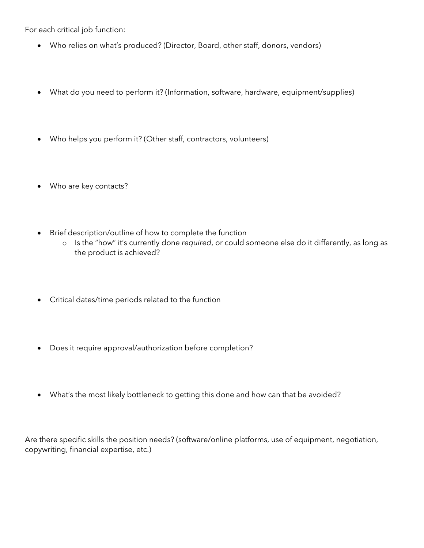For each critical job function:

- Who relies on what's produced? (Director, Board, other staff, donors, vendors)
- What do you need to perform it? (Information, software, hardware, equipment/supplies)
- Who helps you perform it? (Other staff, contractors, volunteers)
- Who are key contacts?
- Brief description/outline of how to complete the function
	- o Is the "how" it's currently done *required*, or could someone else do it differently, as long as the product is achieved?
- Critical dates/time periods related to the function
- Does it require approval/authorization before completion?
- What's the most likely bottleneck to getting this done and how can that be avoided?

Are there specific skills the position needs? (software/online platforms, use of equipment, negotiation, copywriting, financial expertise, etc.)